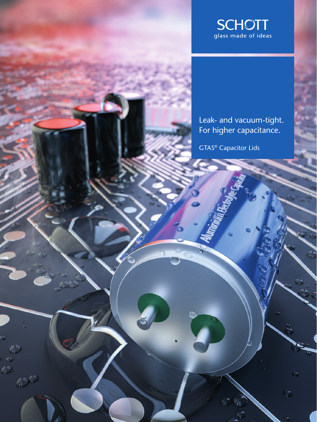

Leak- and vacuum-tight. For higher capacitance.

 $\frac{1}{n}$ 

GTAS® Capacitor Lids

 $\mathbb{Z}^2$ 

 $\mathbb{C}^{(n)}$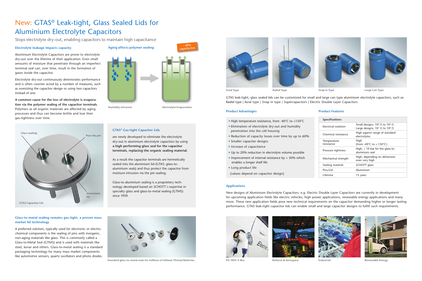

**EV/ HEV/ E-Bus Defense & Aerospace Industrial Renewable Energy**





**Axial Type Radial Type Snap in Type Large Can Type**

## **Electrolyte leakage impacts capacity**

Aluminium Electrolyte Capacitors are prone to electrolyte dry-out over the lifetime of their application. Even small amounts of moisture that penetrate through an imperfect terminal seal can, over time, result in the formation of gases inside the capacitor.

Electrolyte dry-out continuously deteriorates performance and is often counter acted by a number of measures, such as oversizing the capacitor design or using two capacitors instead of one.

**A common cause for the loss of electrolyte is evaporation via the polymer sealing of the capacitor terminals.** Polymers as all organic materials are affected by aging processes and thus can become brittle and lose their gas-tightness over time.



## **GTAS® Gas-tight Capacitor Lids**

are newly developed to eliminate the electrolyte dry-out in aluminium electrolyte capacitors by using **a high performing glass seal for the capacitor terminals, replacing the organic sealing material.**

As a result the capacitor terminals are hermetically sealed into the aluminium lid (GTAS: glass-toaluminium seals) and thus protect the capacitor from moisture intrusion via the pin sealing.

Glass-to-aluminium sealing is a proprietery technology developed based on SCHOTT`s expertise in specialty glass and glass-to-metal sealing (GTMS) since 1939.

- High temperature resistance, from -40°C to +150°C
- Elimination of electrolyte dry-out and humidity penetration into the cell housing
- Reduction of capacity losses over time by up to 60%
- Smaller capaciter designs
- Increase of capacitance
- Up to 20% reduction in electrolyte volume possible
- Improvement of internal resistance by > 50% which enables a longer shelf life
- Long product life
- (values depend on capacitor design)

GTAS leak-tight, glass sealed lids can be customized for small and large can type aluminium electrolyte capacitors, such as: Radial type | Axial type | Snap in type | Supercapacitors | Electric Double Layer Capacitors

#### **Applications**

New designs of Aluminium Electrolyte Capacitors, e.g. Electric Double Layer Capacitors are currently in development for upcoming application fields like electric vehicles, high power applications, renewable energy applications and many more. These new application fields pose new technical requirements on the capacitor demanding higher or longer lasting performance. GTAS leak-tight capacitor lids can enable small and large capacitor designs to fulfill such requirements.





# New: GTAS® Leak-tight, Glass Sealed Lids for Aluminium Electrolyte Capacitors

Stops electrolyte dry-out, enabling capacitors to maintain high capacitance

**Humidity intrusion**



**Aging affects polymer sealing** 

**Electrolyte Evaporation**

**~ 20% capacity loss**



**Standard glass-to-metal seals for millions of Lithium-Thionyl Batteries**





**market lid technology** 

like automotive sensors, quartz oscillators and photo diodes.

#### **Product Advantages Product Features**

| <b>Specifications</b>     |                                                                                                    |
|---------------------------|----------------------------------------------------------------------------------------------------|
| Electrical isolation      | Small designs: $10^8 \Omega$ to $10^9 \Omega$<br>Large designs: $10^7$ $\Omega$ to $10^8$ $\Omega$ |
| Chemical resistance       | High against range of standard<br>electrolytes                                                     |
| Temperature<br>resistance | High<br>(from -40 $\degree$ C to + 150 $\degree$ C)                                                |
| Pressure tightness        | High, $> 10$ bar for the glass-to-<br>aluminium seal                                               |
| Mechanical strength       | High, depending on dimension<br>even very high                                                     |
| Sealing material          | SCHOTT glass                                                                                       |
| Pins/Lid                  | Aluminium                                                                                          |
| Lifetime                  | 15 years                                                                                           |
|                           |                                                                                                    |